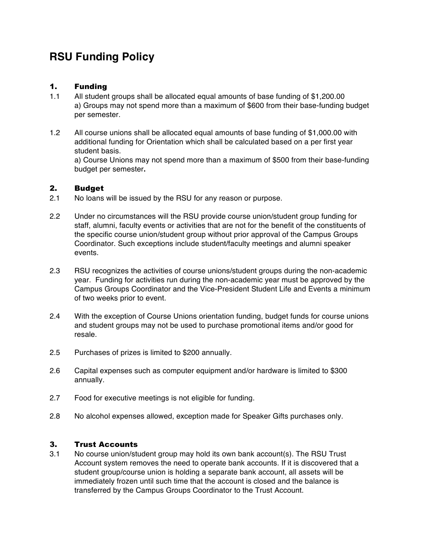# **RSU Funding Policy**

## 1. Funding

- 1.1 All student groups shall be allocated equal amounts of base funding of \$1,200.00 a) Groups may not spend more than a maximum of \$600 from their base-funding budget per semester.
- 1.2 All course unions shall be allocated equal amounts of base funding of \$1,000.00 with additional funding for Orientation which shall be calculated based on a per first year student basis.

a) Course Unions may not spend more than a maximum of \$500 from their base-funding budget per semester**.**

### 2. Budget

- 2.1 No loans will be issued by the RSU for any reason or purpose.
- 2.2 Under no circumstances will the RSU provide course union/student group funding for staff, alumni, faculty events or activities that are not for the benefit of the constituents of the specific course union/student group without prior approval of the Campus Groups Coordinator. Such exceptions include student/faculty meetings and alumni speaker events.
- 2.3 RSU recognizes the activities of course unions/student groups during the non-academic year. Funding for activities run during the non-academic year must be approved by the Campus Groups Coordinator and the Vice-President Student Life and Events a minimum of two weeks prior to event.
- 2.4 With the exception of Course Unions orientation funding, budget funds for course unions and student groups may not be used to purchase promotional items and/or good for resale.
- 2.5 Purchases of prizes is limited to \$200 annually.
- 2.6 Capital expenses such as computer equipment and/or hardware is limited to \$300 annually.
- 2.7 Food for executive meetings is not eligible for funding.
- 2.8 No alcohol expenses allowed, exception made for Speaker Gifts purchases only.

## 3. Trust Accounts

3.1 No course union/student group may hold its own bank account(s). The RSU Trust Account system removes the need to operate bank accounts. If it is discovered that a student group/course union is holding a separate bank account, all assets will be immediately frozen until such time that the account is closed and the balance is transferred by the Campus Groups Coordinator to the Trust Account.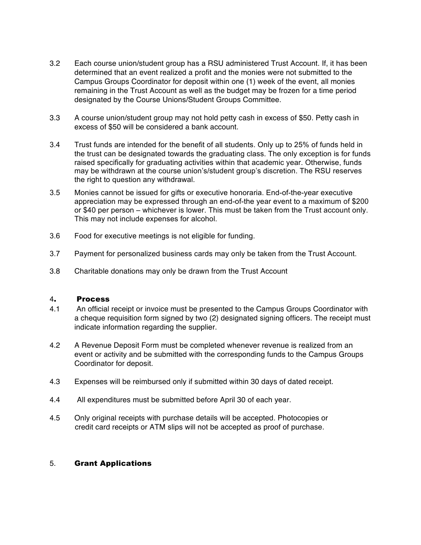- 3.2 Each course union/student group has a RSU administered Trust Account. If, it has been determined that an event realized a profit and the monies were not submitted to the Campus Groups Coordinator for deposit within one (1) week of the event, all monies remaining in the Trust Account as well as the budget may be frozen for a time period designated by the Course Unions/Student Groups Committee.
- 3.3 A course union/student group may not hold petty cash in excess of \$50. Petty cash in excess of \$50 will be considered a bank account.
- 3.4 Trust funds are intended for the benefit of all students. Only up to 25% of funds held in the trust can be designated towards the graduating class. The only exception is for funds raised specifically for graduating activities within that academic year. Otherwise, funds may be withdrawn at the course union's/student group's discretion. The RSU reserves the right to question any withdrawal.
- 3.5 Monies cannot be issued for gifts or executive honoraria. End-of-the-year executive appreciation may be expressed through an end-of-the year event to a maximum of \$200 or \$40 per person – whichever is lower. This must be taken from the Trust account only. This may not include expenses for alcohol.
- 3.6 Food for executive meetings is not eligible for funding.
- 3.7 Payment for personalized business cards may only be taken from the Trust Account.
- 3.8 Charitable donations may only be drawn from the Trust Account

#### 4. Process

- 4.1 An official receipt or invoice must be presented to the Campus Groups Coordinator with a cheque requisition form signed by two (2) designated signing officers. The receipt must indicate information regarding the supplier.
- 4.2 A Revenue Deposit Form must be completed whenever revenue is realized from an event or activity and be submitted with the corresponding funds to the Campus Groups Coordinator for deposit.
- 4.3 Expenses will be reimbursed only if submitted within 30 days of dated receipt.
- 4.4 All expenditures must be submitted before April 30 of each year.
- 4.5 Only original receipts with purchase details will be accepted. Photocopies or credit card receipts or ATM slips will not be accepted as proof of purchase*.*

#### 5. Grant Applications